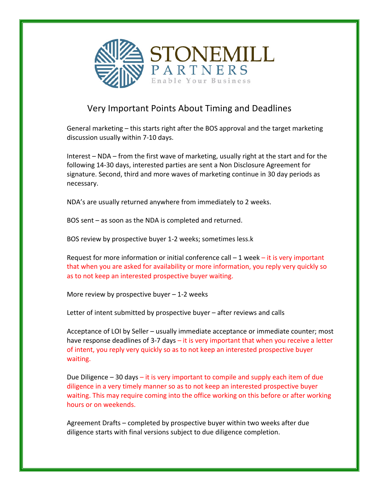

## Very Important Points About Timing and Deadlines

General marketing – this starts right after the BOS approval and the target marketing discussion usually within 7-10 days.

Interest – NDA – from the first wave of marketing, usually right at the start and for the following 14-30 days, interested parties are sent a Non Disclosure Agreement for signature. Second, third and more waves of marketing continue in 30 day periods as necessary.

NDA's are usually returned anywhere from immediately to 2 weeks.

BOS sent – as soon as the NDA is completed and returned.

BOS review by prospective buyer 1-2 weeks; sometimes less.k

Request for more information or initial conference call  $-1$  week  $-$  it is very important that when you are asked for availability or more information, you reply very quickly so as to not keep an interested prospective buyer waiting.

More review by prospective buyer  $-1$ -2 weeks

Letter of intent submitted by prospective buyer  $-$  after reviews and calls

Acceptance of LOI by Seller – usually immediate acceptance or immediate counter; most have response deadlines of 3-7 days  $-$  it is very important that when you receive a letter of intent, you reply very quickly so as to not keep an interested prospective buyer waiting.

Due Diligence  $-30$  days  $-$  it is very important to compile and supply each item of due diligence in a very timely manner so as to not keep an interested prospective buyer waiting. This may require coming into the office working on this before or after working hours or on weekends.

Agreement Drafts – completed by prospective buyer within two weeks after due diligence starts with final versions subject to due diligence completion.